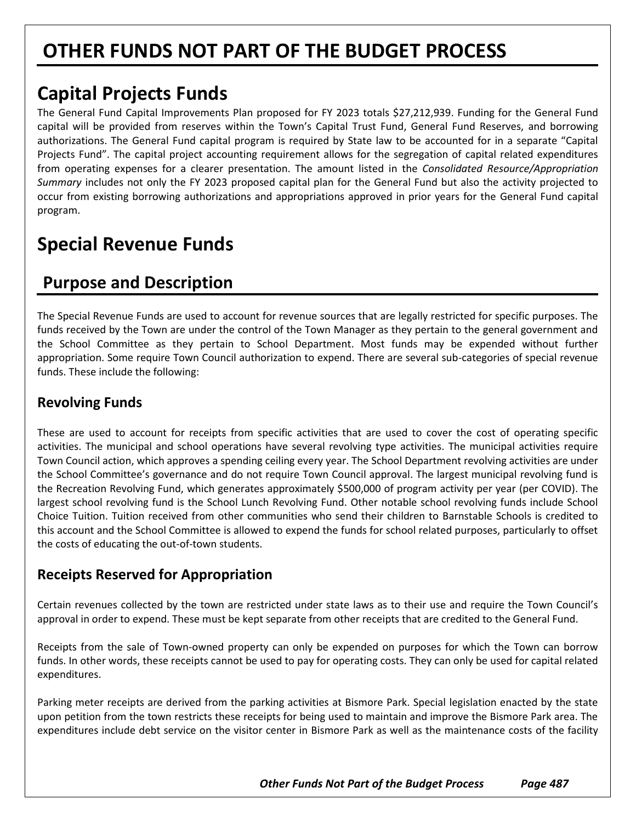# **OTHER FUNDS NOT PART OF THE BUDGET PROCESS**

# **Capital Projects Funds**

The General Fund Capital Improvements Plan proposed for FY 2023 totals \$27,212,939. Funding for the General Fund capital will be provided from reserves within the Town's Capital Trust Fund, General Fund Reserves, and borrowing authorizations. The General Fund capital program is required by State law to be accounted for in a separate "Capital Projects Fund". The capital project accounting requirement allows for the segregation of capital related expenditures from operating expenses for a clearer presentation. The amount listed in the *Consolidated Resource/Appropriation Summary* includes not only the FY 2023 proposed capital plan for the General Fund but also the activity projected to occur from existing borrowing authorizations and appropriations approved in prior years for the General Fund capital program.

# **Special Revenue Funds**

## **Purpose and Description**

The Special Revenue Funds are used to account for revenue sources that are legally restricted for specific purposes. The funds received by the Town are under the control of the Town Manager as they pertain to the general government and the School Committee as they pertain to School Department. Most funds may be expended without further appropriation. Some require Town Council authorization to expend. There are several sub-categories of special revenue funds. These include the following:

### **Revolving Funds**

These are used to account for receipts from specific activities that are used to cover the cost of operating specific activities. The municipal and school operations have several revolving type activities. The municipal activities require Town Council action, which approves a spending ceiling every year. The School Department revolving activities are under the School Committee's governance and do not require Town Council approval. The largest municipal revolving fund is the Recreation Revolving Fund, which generates approximately \$500,000 of program activity per year (per COVID). The largest school revolving fund is the School Lunch Revolving Fund. Other notable school revolving funds include School Choice Tuition. Tuition received from other communities who send their children to Barnstable Schools is credited to this account and the School Committee is allowed to expend the funds for school related purposes, particularly to offset the costs of educating the out-of-town students.

#### **Receipts Reserved for Appropriation**

Certain revenues collected by the town are restricted under state laws as to their use and require the Town Council's approval in order to expend. These must be kept separate from other receipts that are credited to the General Fund.

Receipts from the sale of Town-owned property can only be expended on purposes for which the Town can borrow funds. In other words, these receipts cannot be used to pay for operating costs. They can only be used for capital related expenditures.

Parking meter receipts are derived from the parking activities at Bismore Park. Special legislation enacted by the state upon petition from the town restricts these receipts for being used to maintain and improve the Bismore Park area. The expenditures include debt service on the visitor center in Bismore Park as well as the maintenance costs of the facility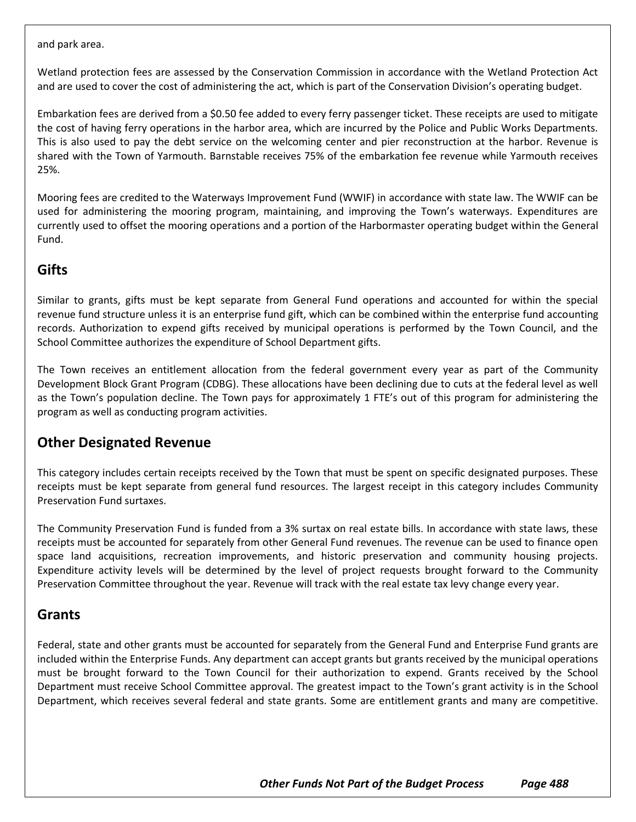and park area.

Wetland protection fees are assessed by the Conservation Commission in accordance with the Wetland Protection Act and are used to cover the cost of administering the act, which is part of the Conservation Division's operating budget.

Embarkation fees are derived from a \$0.50 fee added to every ferry passenger ticket. These receipts are used to mitigate the cost of having ferry operations in the harbor area, which are incurred by the Police and Public Works Departments. This is also used to pay the debt service on the welcoming center and pier reconstruction at the harbor. Revenue is shared with the Town of Yarmouth. Barnstable receives 75% of the embarkation fee revenue while Yarmouth receives 25%.

Mooring fees are credited to the Waterways Improvement Fund (WWIF) in accordance with state law. The WWIF can be used for administering the mooring program, maintaining, and improving the Town's waterways. Expenditures are currently used to offset the mooring operations and a portion of the Harbormaster operating budget within the General Fund.

### **Gifts**

Similar to grants, gifts must be kept separate from General Fund operations and accounted for within the special revenue fund structure unless it is an enterprise fund gift, which can be combined within the enterprise fund accounting records. Authorization to expend gifts received by municipal operations is performed by the Town Council, and the School Committee authorizes the expenditure of School Department gifts.

The Town receives an entitlement allocation from the federal government every year as part of the Community Development Block Grant Program (CDBG). These allocations have been declining due to cuts at the federal level as well as the Town's population decline. The Town pays for approximately 1 FTE's out of this program for administering the program as well as conducting program activities.

#### **Other Designated Revenue**

This category includes certain receipts received by the Town that must be spent on specific designated purposes. These receipts must be kept separate from general fund resources. The largest receipt in this category includes Community Preservation Fund surtaxes.

The Community Preservation Fund is funded from a 3% surtax on real estate bills. In accordance with state laws, these receipts must be accounted for separately from other General Fund revenues. The revenue can be used to finance open space land acquisitions, recreation improvements, and historic preservation and community housing projects. Expenditure activity levels will be determined by the level of project requests brought forward to the Community Preservation Committee throughout the year. Revenue will track with the real estate tax levy change every year.

#### **Grants**

Federal, state and other grants must be accounted for separately from the General Fund and Enterprise Fund grants are included within the Enterprise Funds. Any department can accept grants but grants received by the municipal operations must be brought forward to the Town Council for their authorization to expend. Grants received by the School Department must receive School Committee approval. The greatest impact to the Town's grant activity is in the School Department, which receives several federal and state grants. Some are entitlement grants and many are competitive.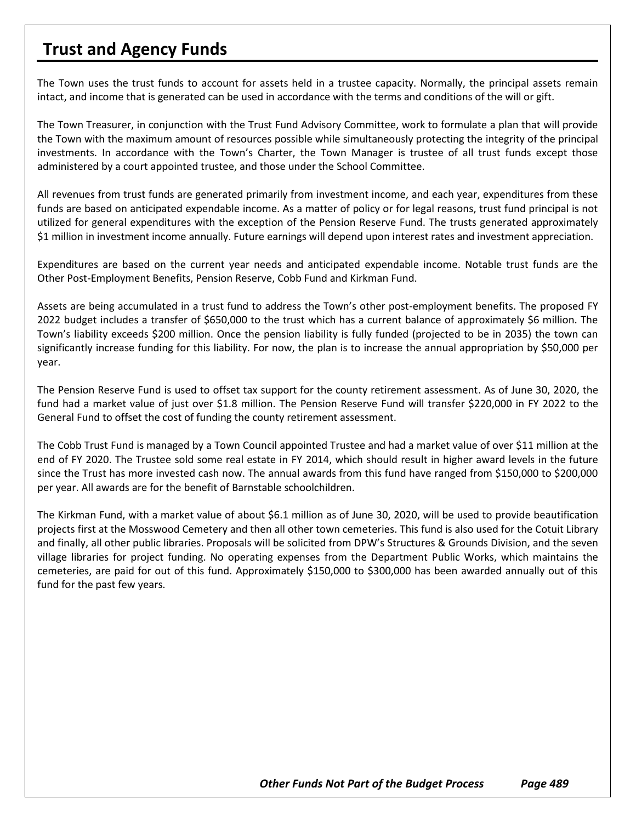### **Trust and Agency Funds**

The Town uses the trust funds to account for assets held in a trustee capacity. Normally, the principal assets remain intact, and income that is generated can be used in accordance with the terms and conditions of the will or gift.

The Town Treasurer, in conjunction with the Trust Fund Advisory Committee, work to formulate a plan that will provide the Town with the maximum amount of resources possible while simultaneously protecting the integrity of the principal investments. In accordance with the Town's Charter, the Town Manager is trustee of all trust funds except those administered by a court appointed trustee, and those under the School Committee.

All revenues from trust funds are generated primarily from investment income, and each year, expenditures from these funds are based on anticipated expendable income. As a matter of policy or for legal reasons, trust fund principal is not utilized for general expenditures with the exception of the Pension Reserve Fund. The trusts generated approximately \$1 million in investment income annually. Future earnings will depend upon interest rates and investment appreciation.

Expenditures are based on the current year needs and anticipated expendable income. Notable trust funds are the Other Post-Employment Benefits, Pension Reserve, Cobb Fund and Kirkman Fund.

Assets are being accumulated in a trust fund to address the Town's other post-employment benefits. The proposed FY 2022 budget includes a transfer of \$650,000 to the trust which has a current balance of approximately \$6 million. The Town's liability exceeds \$200 million. Once the pension liability is fully funded (projected to be in 2035) the town can significantly increase funding for this liability. For now, the plan is to increase the annual appropriation by \$50,000 per year.

The Pension Reserve Fund is used to offset tax support for the county retirement assessment. As of June 30, 2020, the fund had a market value of just over \$1.8 million. The Pension Reserve Fund will transfer \$220,000 in FY 2022 to the General Fund to offset the cost of funding the county retirement assessment.

The Cobb Trust Fund is managed by a Town Council appointed Trustee and had a market value of over \$11 million at the end of FY 2020. The Trustee sold some real estate in FY 2014, which should result in higher award levels in the future since the Trust has more invested cash now. The annual awards from this fund have ranged from \$150,000 to \$200,000 per year. All awards are for the benefit of Barnstable schoolchildren.

The Kirkman Fund, with a market value of about \$6.1 million as of June 30, 2020, will be used to provide beautification projects first at the Mosswood Cemetery and then all other town cemeteries. This fund is also used for the Cotuit Library and finally, all other public libraries. Proposals will be solicited from DPW's Structures & Grounds Division, and the seven village libraries for project funding. No operating expenses from the Department Public Works, which maintains the cemeteries, are paid for out of this fund. Approximately \$150,000 to \$300,000 has been awarded annually out of this fund for the past few years.